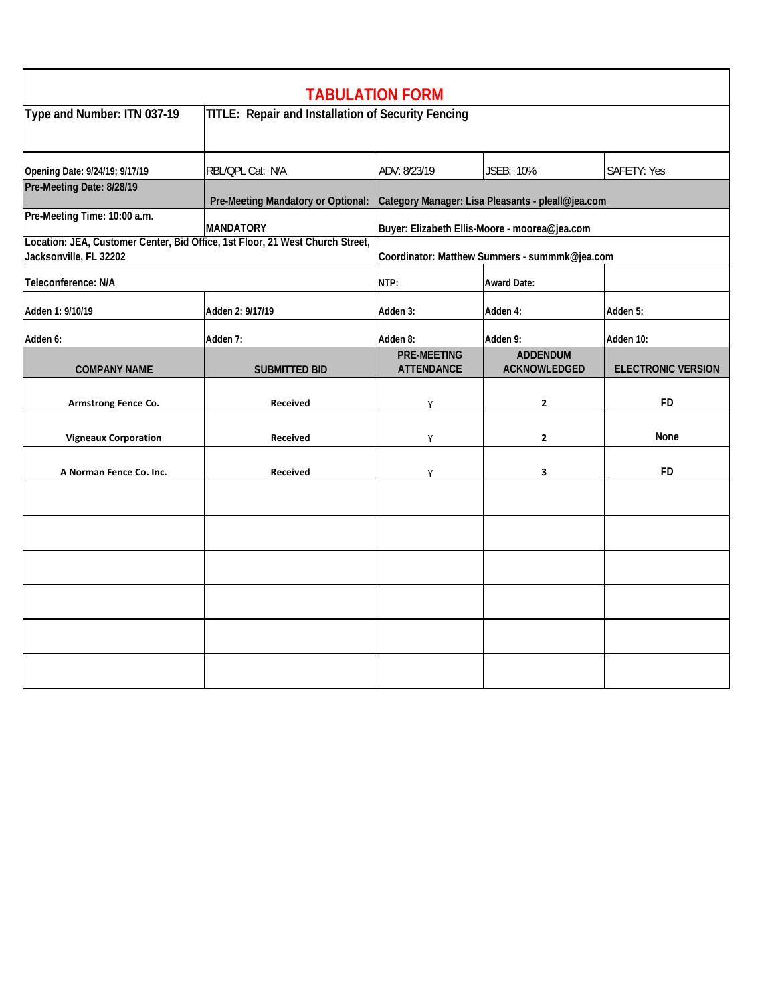|                                                                                                         |                                                           | <b>TABULATION FORM</b>                            |                                 |                           |  |
|---------------------------------------------------------------------------------------------------------|-----------------------------------------------------------|---------------------------------------------------|---------------------------------|---------------------------|--|
| Type and Number: ITN 037-19                                                                             | <b>TITLE: Repair and Installation of Security Fencing</b> |                                                   |                                 |                           |  |
| Opening Date: 9/24/19; 9/17/19                                                                          | RBL/QPL Cat: N/A                                          | ADV: 8/23/19                                      | JSEB: 10%                       | SAFETY: Yes               |  |
| Pre-Meeting Date: 8/28/19                                                                               | Pre-Meeting Mandatory or Optional:                        | Category Manager: Lisa Pleasants - pleall@jea.com |                                 |                           |  |
| Pre-Meeting Time: 10:00 a.m.                                                                            | <b>MANDATORY</b>                                          | Buyer: Elizabeth Ellis-Moore - moorea@jea.com     |                                 |                           |  |
| Location: JEA, Customer Center, Bid Office, 1st Floor, 21 West Church Street,<br>Jacksonville, FL 32202 |                                                           | Coordinator: Matthew Summers - summmk@jea.com     |                                 |                           |  |
| Teleconference: N/A                                                                                     |                                                           | NTP:                                              | <b>Award Date:</b>              |                           |  |
| Adden 1: 9/10/19                                                                                        | Adden 2: 9/17/19                                          | Adden 3:                                          | Adden 4:                        | Adden 5:                  |  |
| Adden 6:                                                                                                | Adden 7:                                                  | Adden 8:                                          | Adden 9:                        | Adden 10:                 |  |
| <b>COMPANY NAME</b>                                                                                     | <b>SUBMITTED BID</b>                                      | <b>PRE-MEETING</b><br><b>ATTENDANCE</b>           | <b>ADDENDUM</b><br>ACKNOWLEDGED | <b>ELECTRONIC VERSION</b> |  |
| Armstrong Fence Co.                                                                                     | <b>Received</b>                                           | Υ                                                 | $\mathbf{z}$                    | <b>FD</b>                 |  |
| <b>Vigneaux Corporation</b>                                                                             | Received                                                  | Υ                                                 | $\mathbf{2}$                    | None                      |  |
| A Norman Fence Co. Inc.                                                                                 | <b>Received</b>                                           | Υ                                                 | 3                               | <b>FD</b>                 |  |
|                                                                                                         |                                                           |                                                   |                                 |                           |  |
|                                                                                                         |                                                           |                                                   |                                 |                           |  |
|                                                                                                         |                                                           |                                                   |                                 |                           |  |
|                                                                                                         |                                                           |                                                   |                                 |                           |  |
|                                                                                                         |                                                           |                                                   |                                 |                           |  |
|                                                                                                         |                                                           |                                                   |                                 |                           |  |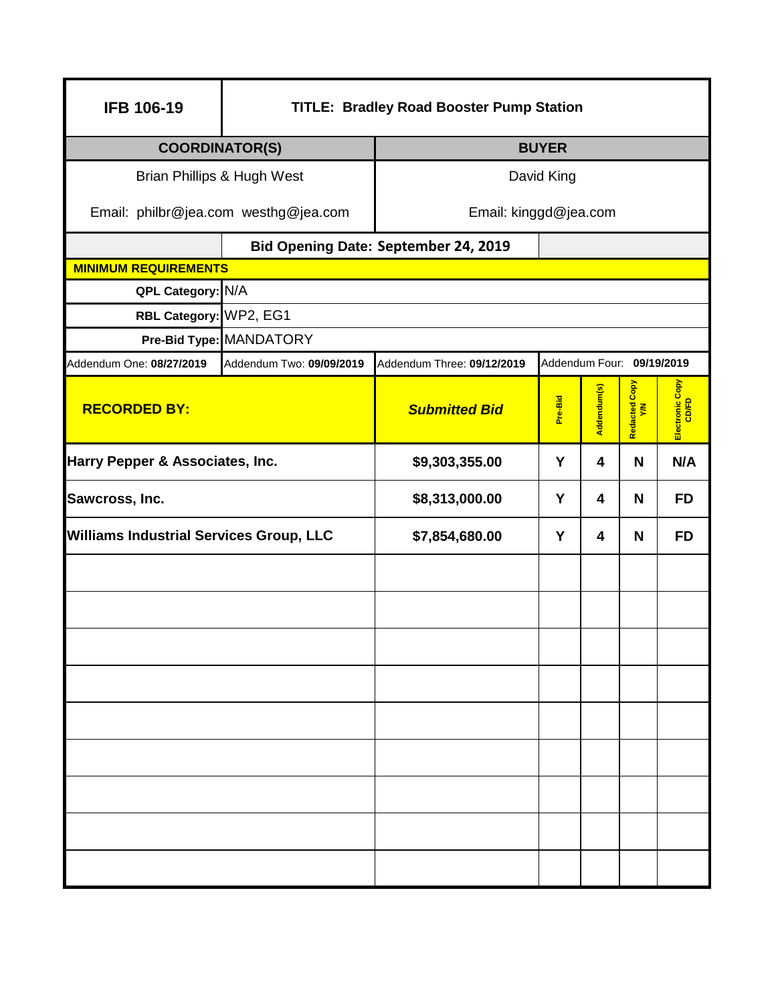| <b>IFB 106-19</b>                              | <b>TITLE: Bradley Road Booster Pump Station</b> |                                             |                           |             |                     |                          |  |  |
|------------------------------------------------|-------------------------------------------------|---------------------------------------------|---------------------------|-------------|---------------------|--------------------------|--|--|
| <b>COORDINATOR(S)</b>                          |                                                 | <b>BUYER</b>                                |                           |             |                     |                          |  |  |
| Brian Phillips & Hugh West                     | David King                                      |                                             |                           |             |                     |                          |  |  |
| Email: philbr@jea.com westhg@jea.com           | Email: kinggd@jea.com                           |                                             |                           |             |                     |                          |  |  |
|                                                |                                                 | <b>Bid Opening Date: September 24, 2019</b> |                           |             |                     |                          |  |  |
| <b>MINIMUM REQUIREMENTS</b>                    |                                                 |                                             |                           |             |                     |                          |  |  |
| QPL Category: N/A                              |                                                 |                                             |                           |             |                     |                          |  |  |
| RBL Category: WP2, EG1                         |                                                 |                                             |                           |             |                     |                          |  |  |
|                                                | Pre-Bid Type: MANDATORY                         |                                             |                           |             |                     |                          |  |  |
| Addendum One: 08/27/2019                       | Addendum Two: 09/09/2019                        | Addendum Three: 09/12/2019                  | Addendum Four: 09/19/2019 |             |                     |                          |  |  |
| <b>RECORDED BY:</b>                            |                                                 | <b>Submitted Bid</b>                        | Pre-Bid                   | Addendum(s) | Redacted Copy<br>YM | Electronic Copy<br>CD/FD |  |  |
| Harry Pepper & Associates, Inc.                |                                                 | \$9,303,355.00                              | Y                         | 4           | N                   | N/A                      |  |  |
| Sawcross, Inc.                                 |                                                 | \$8,313,000.00                              | Y                         | 4           | N                   | <b>FD</b>                |  |  |
| <b>Williams Industrial Services Group, LLC</b> |                                                 | \$7,854,680.00                              | Y                         | 4           | N                   | <b>FD</b>                |  |  |
|                                                |                                                 |                                             |                           |             |                     |                          |  |  |
|                                                |                                                 |                                             |                           |             |                     |                          |  |  |
|                                                |                                                 |                                             |                           |             |                     |                          |  |  |
|                                                |                                                 |                                             |                           |             |                     |                          |  |  |
|                                                |                                                 |                                             |                           |             |                     |                          |  |  |
|                                                |                                                 |                                             |                           |             |                     |                          |  |  |
|                                                |                                                 |                                             |                           |             |                     |                          |  |  |
|                                                |                                                 |                                             |                           |             |                     |                          |  |  |
|                                                |                                                 |                                             |                           |             |                     |                          |  |  |